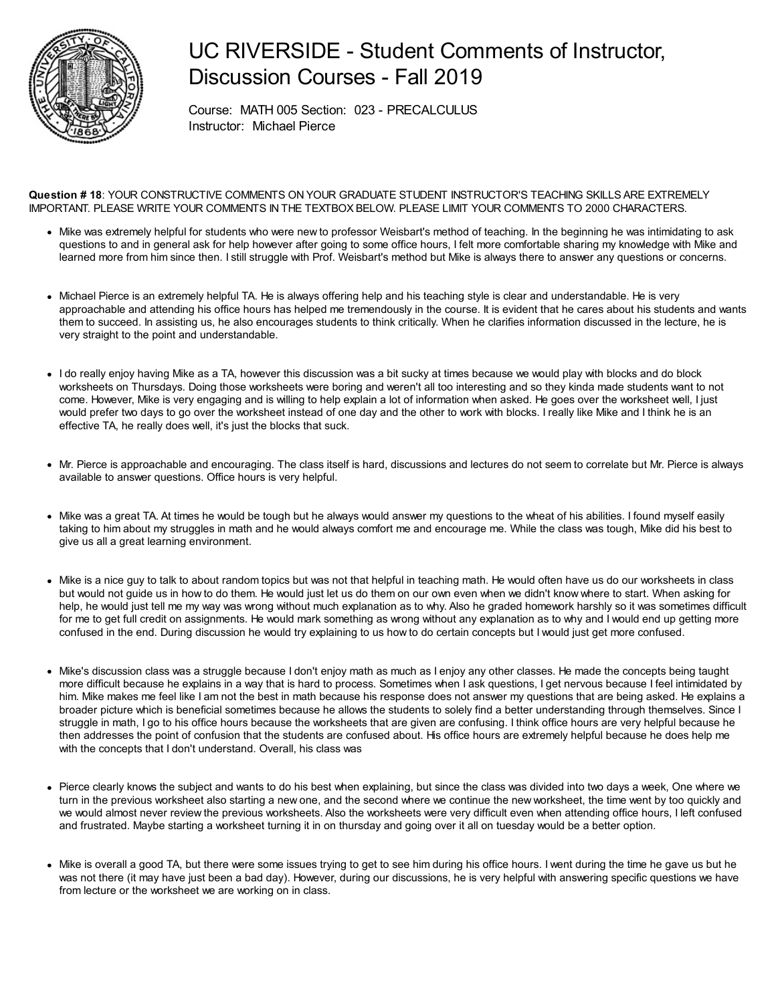

## UC RIVERSIDE - Student Comments of Instructor, Discussion Courses - Fall 2019

Course: MATH 005 Section: 023 - PRECALCULUS Instructor: Michael Pierce

**Question # 18**: YOUR CONSTRUCTIVE COMMENTS ON YOUR GRADUATE STUDENT INSTRUCTOR'S TEACHING SKILLS ARE EXTREMELY IMPORTANT. PLEASE WRITE YOUR COMMENTS IN THE TEXTBOX BELOW. PLEASE LIMIT YOUR COMMENTS TO 2000 CHARACTERS.

- Mike was extremely helpful for students who were new to professor Weisbart's method of teaching. In the beginning he was intimidating to ask questions to and in general ask for help however after going to some office hours, I felt more comfortable sharing my knowledge with Mike and learned more from him since then. I still struggle with Prof. Weisbart's method but Mike is always there to answer any questions or concerns.
- Michael Pierce is an extremely helpful TA. He is always offering help and his teaching style is clear and understandable. He is very approachable and attending his office hours has helped me tremendously in the course. It is evident that he cares about his students and wants them to succeed. In assisting us, he also encourages students to think critically. When he clarifies information discussed in the lecture, he is very straight to the point and understandable.
- I do really enjoy having Mike as a TA, however this discussion was a bit sucky at times because we would play with blocks and do block worksheets on Thursdays. Doing those worksheets were boring and weren't all too interesting and so they kinda made students want to not come. However, Mike is very engaging and is willing to help explain a lot of information when asked. He goes over the worksheet well, I just would prefer two days to go over the worksheet instead of one day and the other to work with blocks. I really like Mike and I think he is an effective TA, he really does well, it's just the blocks that suck.
- Mr. Pierce is approachable and encouraging. The class itself is hard, discussions and lectures do not seem to correlate but Mr. Pierce is always available to answer questions. Office hours is very helpful.
- Mike was a great TA. At times he would be tough but he always would answer my questions to the wheat of his abilities. I found myself easily taking to him about my struggles in math and he would always comfort me and encourage me. While the class was tough, Mike did his best to give us all a great learning environment.
- Mike is a nice guy to talk to about random topics but was not that helpful in teaching math. He would often have us do our worksheets in class but would not guide us in how to do them. He would just let us do them on our own even when we didn't know where to start. When asking for help, he would just tell me my way was wrong without much explanation as to why. Also he graded homework harshly so it was sometimes difficult for me to get full credit on assignments. He would mark something as wrong without any explanation as to why and I would end up getting more confused in the end. During discussion he would try explaining to us how to do certain concepts but I would just get more confused.
- Mike's discussion class was a struggle because I don't enjoy math as much as I enjoy any other classes. He made the concepts being taught more difficult because he explains in a way that is hard to process. Sometimes when I ask questions, I get nervous because I feel intimidated by him. Mike makes me feel like I am not the best in math because his response does not answer my questions that are being asked. He explains a broader picture which is beneficial sometimes because he allows the students to solely find a better understanding through themselves. Since I struggle in math, I go to his office hours because the worksheets that are given are confusing. I think office hours are very helpful because he then addresses the point of confusion that the students are confused about. His office hours are extremely helpful because he does help me with the concepts that I don't understand. Overall, his class was
- Pierce clearly knows the subject and wants to do his best when explaining, but since the class was divided into two days a week, One where we turn in the previous worksheet also starting a new one, and the second where we continue the new worksheet, the time went by too quickly and we would almost never review the previous worksheets. Also the worksheets were very difficult even when attending office hours, I left confused and frustrated. Maybe starting a worksheet turning it in on thursday and going over it all on tuesday would be a better option.
- Mike is overall a good TA, but there were some issues trying to get to see him during his office hours. I went during the time he gave us but he was not there (it may have just been a bad day). However, during our discussions, he is very helpful with answering specific questions we have from lecture or the worksheet we are working on in class.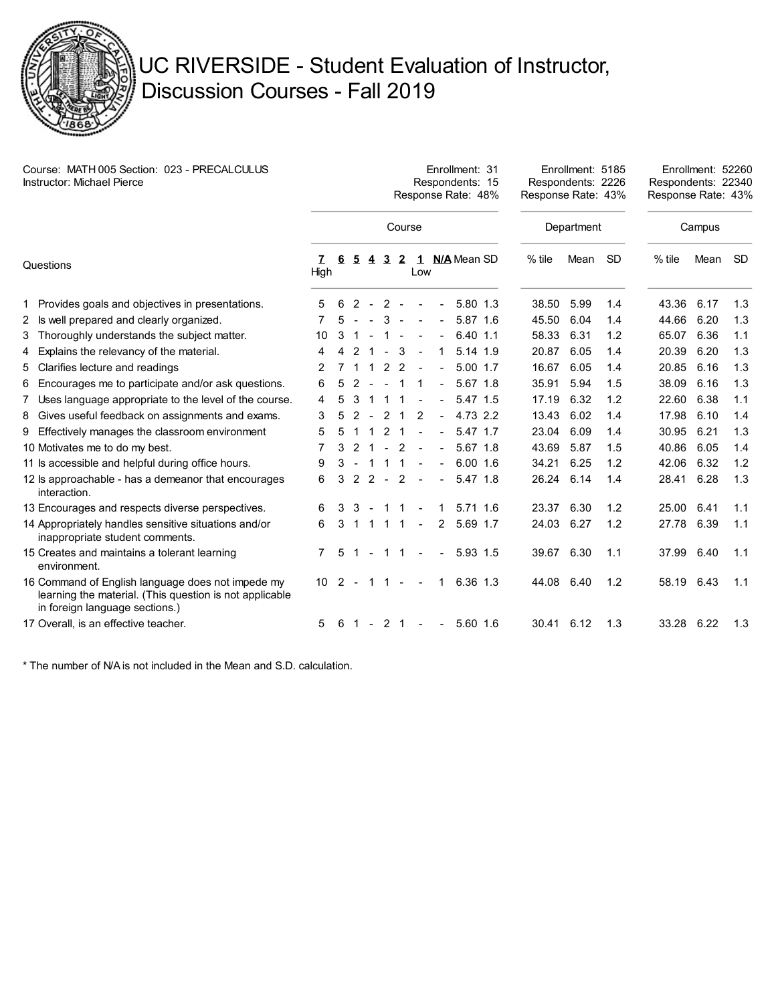

## UC RIVERSIDE - Student Evaluation of Instructor, Discussion Courses - Fall 2019

| Course: MATH 005 Section: 023 - PRECALCULUS<br>Instructor: Michael Pierce |                                                                                                                                                |      | Enrollment: 31<br>Respondents: 15<br>Response Rate: 48% |                |                |                |              |                |                |               |  | Enrollment: 5185<br>Respondents: 2226<br>Response Rate: 43% |      |           | Enrollment: 52260<br>Respondents: 22340<br>Response Rate: 43% |      |           |
|---------------------------------------------------------------------------|------------------------------------------------------------------------------------------------------------------------------------------------|------|---------------------------------------------------------|----------------|----------------|----------------|--------------|----------------|----------------|---------------|--|-------------------------------------------------------------|------|-----------|---------------------------------------------------------------|------|-----------|
|                                                                           |                                                                                                                                                |      |                                                         |                |                |                | Course       |                |                |               |  | Department                                                  |      |           | Campus                                                        |      |           |
| Questions                                                                 |                                                                                                                                                | High | 6                                                       | <u>5</u>       |                | $\overline{3}$ | $\mathbf{2}$ | Low            |                | 1 N/A Mean SD |  | $%$ tile                                                    | Mean | <b>SD</b> | $%$ tile                                                      | Mean | <b>SD</b> |
|                                                                           | 1 Provides goals and objectives in presentations.                                                                                              | 5    | 6                                                       | $\overline{2}$ | $\sim$         | 2              | $\sim$       |                |                | 5.80 1.3      |  | 38.50                                                       | 5.99 | 1.4       | 43.36                                                         | 6.17 | 1.3       |
|                                                                           | 2 Is well prepared and clearly organized.                                                                                                      |      |                                                         |                |                | 3              |              |                |                | 5.87 1.6      |  | 45.50                                                       | 6.04 | 1.4       | 44.66                                                         | 6.20 | 1.3       |
|                                                                           | 3 Thoroughly understands the subject matter.                                                                                                   | 10   | 3                                                       |                |                | 1              |              |                | $\blacksquare$ | 6.40 1.1      |  | 58.33                                                       | 6.31 | 1.2       | 65.07                                                         | 6.36 | 1.1       |
|                                                                           | 4 Explains the relevancy of the material.                                                                                                      | 4    | 4                                                       | 2              |                | $\sim$         | 3            |                | 1              | 5.14 1.9      |  | 20.87                                                       | 6.05 | 1.4       | 20.39                                                         | 6.20 | 1.3       |
|                                                                           | 5 Clarifies lecture and readings                                                                                                               | 2    |                                                         |                |                | 2              | 2            |                | $\blacksquare$ | 5.00 1.7      |  | 16.67                                                       | 6.05 | 1.4       | 20.85                                                         | 6.16 | 1.3       |
|                                                                           | 6 Encourages me to participate and/or ask questions.                                                                                           | 6    | 5                                                       | 2              |                | $\sim$         |              |                |                | 5.67 1.8      |  | 35.91                                                       | 5.94 | 1.5       | 38.09                                                         | 6.16 | 1.3       |
|                                                                           | 7 Uses language appropriate to the level of the course.                                                                                        | 4    | 5                                                       | 3              |                |                |              |                | $\blacksquare$ | 5.47 1.5      |  | 17.19                                                       | 6.32 | 1.2       | 22.60                                                         | 6.38 | 1.1       |
|                                                                           | 8 Gives useful feedback on assignments and exams.                                                                                              | 3    | 5                                                       | 2              | $\sim$         | 2              | -1           | 2              | $\blacksquare$ | 4.73 2.2      |  | 13.43                                                       | 6.02 | 1.4       | 17.98                                                         | 6.10 | 1.4       |
|                                                                           | 9 Effectively manages the classroom environment                                                                                                | 5    |                                                         |                |                | 2              |              |                |                | 5.47 1.7      |  | 23.04                                                       | 6.09 | 1.4       | 30.95                                                         | 6.21 | 1.3       |
|                                                                           | 10 Motivates me to do my best.                                                                                                                 | 7    | 3                                                       | 2              |                |                | 2            |                |                | 5.67 1.8      |  | 43.69                                                       | 5.87 | 1.5       | 40.86                                                         | 6.05 | 1.4       |
|                                                                           | 11 Is accessible and helpful during office hours.                                                                                              | 9    | 3                                                       |                |                |                |              |                |                | $6.00$ 1.6    |  | 34.21                                                       | 6.25 | 1.2       | 42.06                                                         | 6.32 | 1.2       |
|                                                                           | 12 ls approachable - has a demeanor that encourages<br>interaction.                                                                            | 6    | 3                                                       | 2              | $2 -$          |                | 2            |                |                | 5.47 1.8      |  | 26.24                                                       | 6.14 | 1.4       | 28.41                                                         | 6.28 | 1.3       |
|                                                                           | 13 Encourages and respects diverse perspectives.                                                                                               | 6    | 3                                                       | 3              |                | -1             |              |                |                | $5.71$ 1.6    |  | 23.37                                                       | 6.30 | 1.2       | 25.00                                                         | 6.41 | 1.1       |
|                                                                           | 14 Appropriately handles sensitive situations and/or<br>inappropriate student comments.                                                        | 6    | 3                                                       | $\mathbf{1}$   | $\mathbf 1$    | $\overline{1}$ | 1            | $\blacksquare$ | $\overline{2}$ | 5.69 1.7      |  | 24.03                                                       | 6.27 | 1.2       | 27.78                                                         | 6.39 | 1.1       |
|                                                                           | 15 Creates and maintains a tolerant learning<br>environment.                                                                                   |      | 5                                                       | 1              | $\blacksquare$ | $\mathbf{1}$   | $\mathbf{1}$ | $\blacksquare$ | $\blacksquare$ | 5.93 1.5      |  | 39.67                                                       | 6.30 | 1.1       | 37.99                                                         | 6.40 | 1.1       |
|                                                                           | 16 Command of English language does not impede my<br>learning the material. (This question is not applicable<br>in foreign language sections.) | 10   | 2                                                       | $\sim$         | 1              | 1              |              |                | 1              | 6.36 1.3      |  | 44.08                                                       | 6.40 | 1.2       | 58.19                                                         | 6.43 | 1.1       |
|                                                                           | 17 Overall, is an effective teacher.                                                                                                           | 5    | 6                                                       | $\overline{1}$ |                | $-21$          |              | $\sim$         | $\blacksquare$ | 5.60 1.6      |  | 30.41 6.12                                                  |      | 1.3       | 33.28                                                         | 6.22 | 1.3       |

\* The number of N/A is not included in the Mean and S.D. calculation.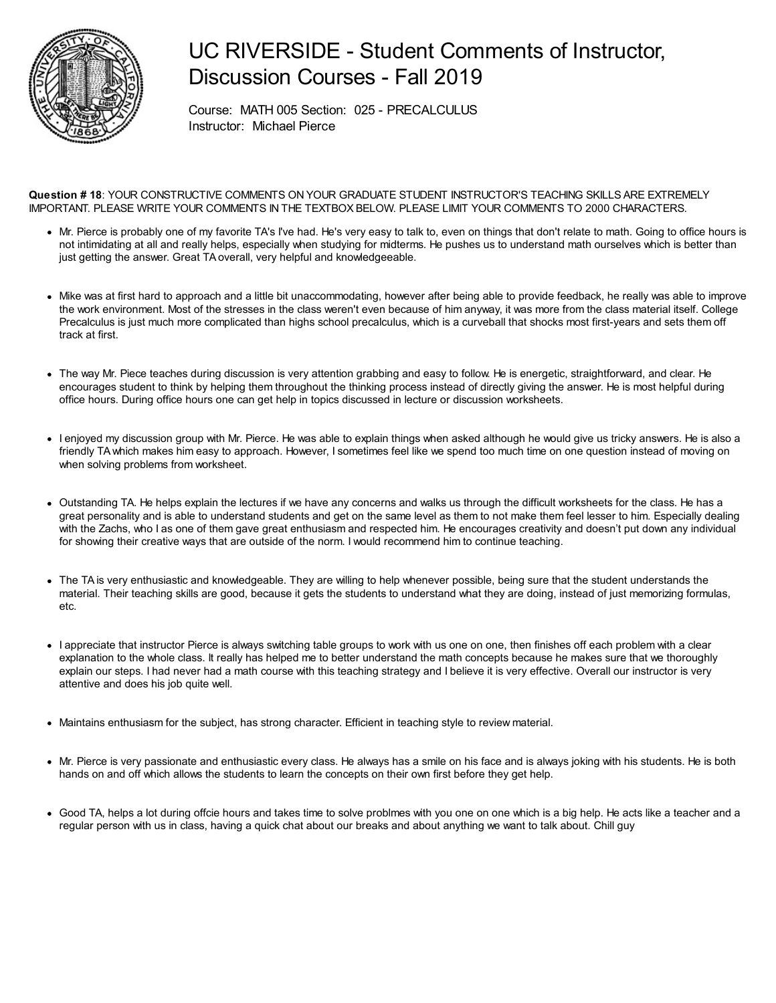

## UC RIVERSIDE - Student Comments of Instructor, Discussion Courses - Fall 2019

Course: MATH 005 Section: 025 - PRECALCULUS Instructor: Michael Pierce

**Question # 18**: YOUR CONSTRUCTIVE COMMENTS ON YOUR GRADUATE STUDENT INSTRUCTOR'S TEACHING SKILLS ARE EXTREMELY IMPORTANT. PLEASE WRITE YOUR COMMENTS IN THE TEXTBOX BELOW. PLEASE LIMIT YOUR COMMENTS TO 2000 CHARACTERS.

- Mr. Pierce is probably one of my favorite TA's I've had. He's very easy to talk to, even on things that don't relate to math. Going to office hours is not intimidating at all and really helps, especially when studying for midterms. He pushes us to understand math ourselves which is better than just getting the answer. Great TA overall, very helpful and knowledgeeable.
- Mike was at first hard to approach and a little bit unaccommodating, however after being able to provide feedback, he really was able to improve the work environment. Most of the stresses in the class weren't even because of him anyway, it was more from the class material itself. College Precalculus is just much more complicated than highs school precalculus, which is a curveball that shocks most first-years and sets them off track at first.
- The way Mr. Piece teaches during discussion is very attention grabbing and easy to follow. He is energetic, straightforward, and clear. He encourages student to think by helping them throughout the thinking process instead of directly giving the answer. He is most helpful during office hours. During office hours one can get help in topics discussed in lecture or discussion worksheets.
- I enjoyed my discussion group with Mr. Pierce. He was able to explain things when asked although he would give us tricky answers. He is also a friendly TAwhich makes him easy to approach. However, I sometimes feel like we spend too much time on one question instead of moving on when solving problems from worksheet.
- Outstanding TA. He helps explain the lectures if we have any concerns and walks us through the difficult worksheets for the class. He has a great personality and is able to understand students and get on the same level as them to not make them feel lesser to him. Especially dealing with the Zachs, who I as one of them gave great enthusiasm and respected him. He encourages creativity and doesn't put down any individual for showing their creative ways that are outside of the norm. I would recommend him to continue teaching.
- The TA is very enthusiastic and knowledgeable. They are willing to help whenever possible, being sure that the student understands the material. Their teaching skills are good, because it gets the students to understand what they are doing, instead of just memorizing formulas, etc.
- I appreciate that instructor Pierce is always switching table groups to work with us one on one, then finishes off each problem with a clear explanation to the whole class. It really has helped me to better understand the math concepts because he makes sure that we thoroughly explain our steps. I had never had a math course with this teaching strategy and I believe it is very effective. Overall our instructor is very attentive and does his job quite well.
- Maintains enthusiasm for the subject, has strong character. Efficient in teaching style to review material.
- Mr. Pierce is very passionate and enthusiastic every class. He always has a smile on his face and is always joking with his students. He is both hands on and off which allows the students to learn the concepts on their own first before they get help.
- Good TA, helps a lot during offcie hours and takes time to solve problmes with you one on one which is a big help. He acts like a teacher and a regular person with us in class, having a quick chat about our breaks and about anything we want to talk about. Chill guy